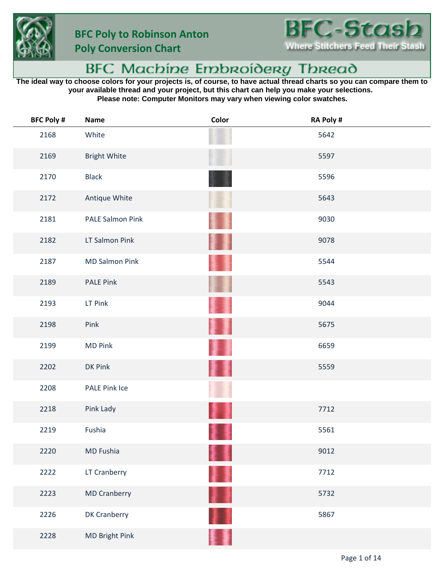



**Poly Conversion Chart**

## BFC Machine Embroidery Thread

**The ideal way to choose colors for your projects is, of course, to have actual thread charts so you can compare them to your available thread and your project, but this chart can help you make your selections. Please note: Computer Monitors may vary when viewing color swatches.**

| <b>BFC Poly #</b> | <b>Name</b>           | Color | <b>RA Poly #</b> |
|-------------------|-----------------------|-------|------------------|
| 2168              | White                 |       | 5642             |
| 2169              | <b>Bright White</b>   |       | 5597             |
| 2170              | <b>Black</b>          |       | 5596             |
| 2172              | Antique White         |       | 5643             |
| 2181              | PALE Salmon Pink      |       | 9030             |
| 2182              | LT Salmon Pink        |       | 9078             |
| 2187              | <b>MD Salmon Pink</b> |       | 5544             |
| 2189              | <b>PALE Pink</b>      |       | 5543             |
| 2193              | LT Pink               |       | 9044             |
| 2198              | Pink                  |       | 5675             |
| 2199              | <b>MD Pink</b>        |       | 6659             |
| 2202              | DK Pink               |       | 5559             |
| 2208              | PALE Pink Ice         |       |                  |
| 2218              | Pink Lady             |       | 7712             |
| 2219              | Fushia                |       | 5561             |
| 2220              | MD Fushia             |       | 9012             |
| 2222              | LT Cranberry          | 菲量    | 7712             |
| 2223              | <b>MD Cranberry</b>   | 11    | 5732             |
| 2226              | DK Cranberry          |       | 5867             |
| 2228              | MD Bright Pink        |       |                  |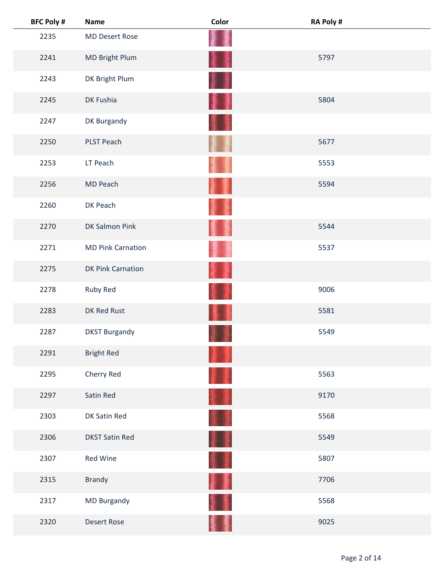| <b>BFC Poly #</b> | <b>Name</b>              | Color | <b>RA Poly #</b> |
|-------------------|--------------------------|-------|------------------|
| 2235              | <b>MD Desert Rose</b>    |       |                  |
| 2241              | MD Bright Plum           | 를     | 5797             |
| 2243              | DK Bright Plum           |       |                  |
| 2245              | DK Fushia                | 麠     | 5804             |
| 2247              | DK Burgandy              |       |                  |
| 2250              | <b>PLST Peach</b>        |       | 5677             |
| 2253              | LT Peach                 |       | 5553             |
| 2256              | MD Peach                 |       | 5594             |
| 2260              | DK Peach                 |       |                  |
| 2270              | <b>DK Salmon Pink</b>    |       | 5544             |
| 2271              | <b>MD Pink Carnation</b> |       | 5537             |
| 2275              | <b>DK Pink Carnation</b> |       |                  |
| 2278              | Ruby Red                 |       | 9006             |
| 2283              | DK Red Rust              |       | 5581             |
| 2287              | <b>DKST Burgandy</b>     |       | 5549             |
| 2291              | <b>Bright Red</b>        |       |                  |
| 2295              | Cherry Red               |       | 5563             |
| 2297              | Satin Red                |       | 9170             |
| 2303              | DK Satin Red             |       | 5568             |
| 2306              | <b>DKST Satin Red</b>    | H     | 5549             |
| 2307              | <b>Red Wine</b>          | ŧ,    | 5807             |
| 2315              | <b>Brandy</b>            | 僵     | 7706             |
| 2317              | MD Burgandy              |       | 5568             |
| 2320              | <b>Desert Rose</b>       |       | 9025             |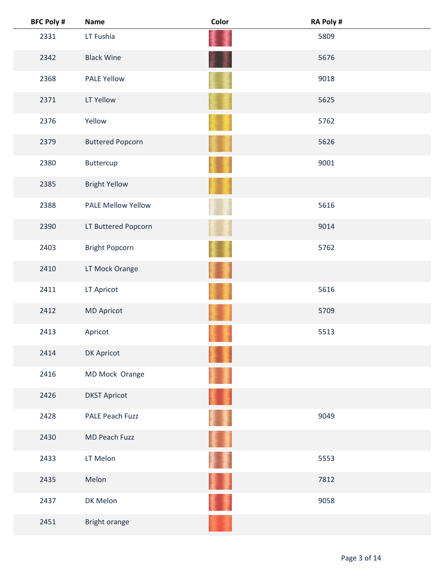| <b>BFC Poly #</b> | <b>Name</b>               | Color | RA Poly # |
|-------------------|---------------------------|-------|-----------|
| 2331              | LT Fushia                 |       | 5809      |
| 2342              | <b>Black Wine</b>         |       | 5676      |
| 2368              | <b>PALE Yellow</b>        |       | 9018      |
| 2371              | LT Yellow                 |       | 5625      |
| 2376              | Yellow                    |       | 5762      |
| 2379              | <b>Buttered Popcorn</b>   |       | 5626      |
| 2380              | Buttercup                 |       | 9001      |
| 2385              | <b>Bright Yellow</b>      |       |           |
| 2388              | <b>PALE Mellow Yellow</b> |       | 5616      |
| 2390              | LT Buttered Popcorn       |       | 9014      |
| 2403              | <b>Bright Popcorn</b>     |       | 5762      |
| 2410              | LT Mock Orange            |       |           |
| 2411              | LT Apricot                |       | 5616      |
| 2412              | <b>MD Apricot</b>         |       | 5709      |
| 2413              | Apricot                   |       | 5513      |
| 2414              | DK Apricot                |       |           |
| 2416              | MD Mock Orange            |       |           |
| 2426              | <b>DKST Apricot</b>       |       |           |
| 2428              | PALE Peach Fuzz           |       | 9049      |
| 2430              | MD Peach Fuzz             |       |           |
| 2433              | LT Melon                  |       | 5553      |
| 2435              | Melon                     |       | 7812      |
| 2437              | DK Melon                  |       | 9058      |
| 2451              | Bright orange             |       |           |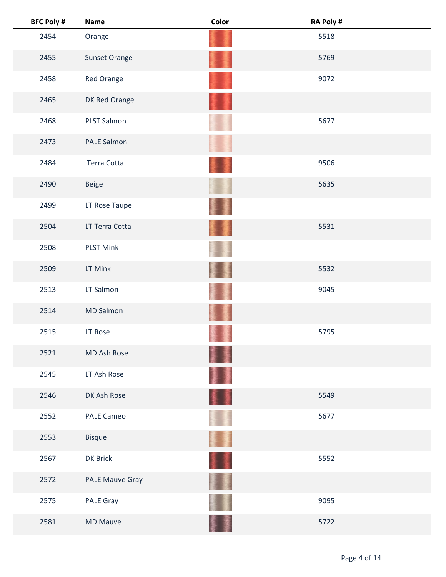| <b>BFC Poly #</b> | <b>Name</b>       | Color | RA Poly # |
|-------------------|-------------------|-------|-----------|
| 2454              | Orange            |       | 5518      |
| 2455              | Sunset Orange     |       | 5769      |
| 2458              | Red Orange        |       | 9072      |
| 2465              | DK Red Orange     |       |           |
| 2468              | PLST Salmon       |       | 5677      |
| 2473              | PALE Salmon       |       |           |
| 2484              | Terra Cotta       |       | 9506      |
| 2490              | <b>Beige</b>      |       | 5635      |
| 2499              | LT Rose Taupe     |       |           |
| 2504              | LT Terra Cotta    |       | 5531      |
| 2508              | <b>PLST Mink</b>  |       |           |
| 2509              | LT Mink           |       | 5532      |
| 2513              | LT Salmon         |       | 9045      |
| 2514              | <b>MD Salmon</b>  |       |           |
| 2515              | LT Rose           |       | 5795      |
| 2521              | MD Ash Rose       | ł     |           |
| 2545              | LT Ash Rose       |       |           |
| 2546              | DK Ash Rose       | 91    | 5549      |
| 2552              | <b>PALE Cameo</b> |       | 5677      |
| 2553              | <b>Bisque</b>     | Ħ     |           |
| 2567              | DK Brick          | 11    | 5552      |
| 2572              | PALE Mauve Gray   |       |           |
| 2575              | PALE Gray         |       | 9095      |
| 2581              | <b>MD Mauve</b>   |       | 5722      |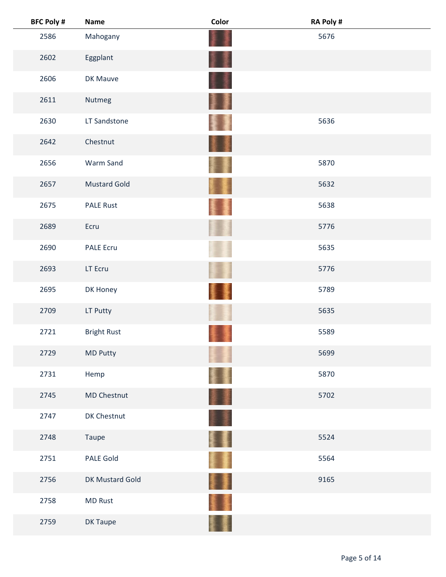| <b>BFC Poly #</b> | <b>Name</b>         | Color | RA Poly # |
|-------------------|---------------------|-------|-----------|
| 2586              | Mahogany            |       | 5676      |
| 2602              | Eggplant            |       |           |
| 2606              | DK Mauve            |       |           |
| 2611              | Nutmeg              | J     |           |
| 2630              | LT Sandstone        |       | 5636      |
| 2642              | Chestnut            |       |           |
| 2656              | Warm Sand           |       | 5870      |
| 2657              | <b>Mustard Gold</b> |       | 5632      |
| 2675              | <b>PALE Rust</b>    |       | 5638      |
| 2689              | Ecru                |       | 5776      |
| 2690              | <b>PALE Ecru</b>    |       | 5635      |
| 2693              | LT Ecru             |       | 5776      |
| 2695              | DK Honey            |       | 5789      |
| 2709              | LT Putty            |       | 5635      |
| 2721              | <b>Bright Rust</b>  |       | 5589      |
| 2729              | <b>MD Putty</b>     |       | 5699      |
| 2731              | Hemp                |       | 5870      |
| 2745              | <b>MD Chestnut</b>  | 葦澤    | 5702      |
| 2747              | DK Chestnut         |       |           |
| 2748              | Taupe               | S E   | 5524      |
| 2751              | <b>PALE Gold</b>    |       | 5564      |
| 2756              | DK Mustard Gold     |       | 9165      |
| 2758              | <b>MD Rust</b>      |       |           |
| 2759              | DK Taupe            |       |           |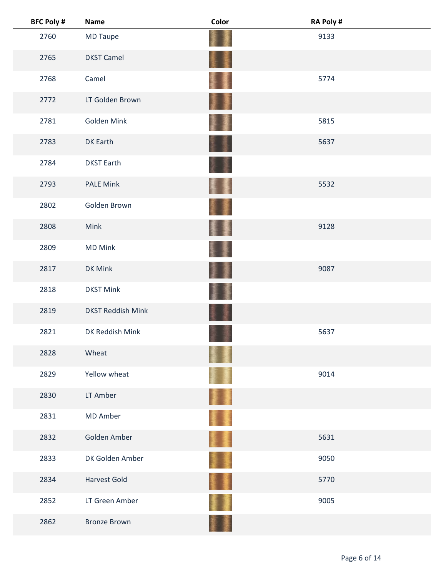| <b>BFC Poly #</b> | <b>Name</b>              | Color         | <b>RA Poly #</b> |
|-------------------|--------------------------|---------------|------------------|
| 2760              | MD Taupe                 |               | 9133             |
| 2765              | <b>DKST Camel</b>        | <b>I</b><br>耋 |                  |
| 2768              | Camel                    | 橐             | 5774             |
| 2772              | LT Golden Brown          | H             |                  |
| 2781              | Golden Mink              |               | 5815             |
| 2783              | DK Earth                 |               | 5637             |
| 2784              | <b>DKST Earth</b>        |               |                  |
| 2793              | <b>PALE Mink</b>         | ł             | 5532             |
| 2802              | Golden Brown             |               |                  |
| 2808              | Mink                     | 墨             | 9128             |
| 2809              | <b>MD Mink</b>           |               |                  |
| 2817              | DK Mink                  |               | 9087             |
| 2818              | <b>DKST Mink</b>         |               |                  |
| 2819              | <b>DKST Reddish Mink</b> |               |                  |
| 2821              | DK Reddish Mink          |               | 5637             |
| 2828              | Wheat                    |               |                  |
| 2829              | Yellow wheat             |               | 9014             |
| 2830              | LT Amber                 | <b>A</b>      |                  |
| 2831              | MD Amber                 | ò             |                  |
| 2832              | Golden Amber             | Į.            | 5631             |
| 2833              | DK Golden Amber          | 重畫            | 9050             |
| 2834              | <b>Harvest Gold</b>      | 重量            | 5770             |
| 2852              | LT Green Amber           |               | 9005             |
| 2862              | <b>Bronze Brown</b>      |               |                  |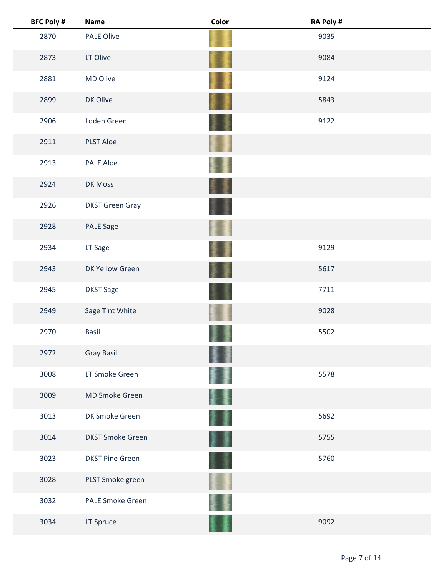| <b>BFC Poly #</b> | <b>Name</b>             | Color | RA Poly # |  |
|-------------------|-------------------------|-------|-----------|--|
| 2870              | <b>PALE Olive</b>       |       | 9035      |  |
| 2873              | LT Olive                |       | 9084      |  |
| 2881              | MD Olive                |       | 9124      |  |
| 2899              | DK Olive                |       | 5843      |  |
| 2906              | Loden Green             |       | 9122      |  |
| 2911              | <b>PLST Aloe</b>        |       |           |  |
| 2913              | <b>PALE Aloe</b>        |       |           |  |
| 2924              | <b>DK Moss</b>          |       |           |  |
| 2926              | <b>DKST Green Gray</b>  |       |           |  |
| 2928              | <b>PALE Sage</b>        |       |           |  |
| 2934              | LT Sage                 |       | 9129      |  |
| 2943              | DK Yellow Green         |       | 5617      |  |
| 2945              | <b>DKST Sage</b>        |       | 7711      |  |
| 2949              | Sage Tint White         |       | 9028      |  |
| 2970              | <b>Basil</b>            |       | 5502      |  |
| 2972              | <b>Gray Basil</b>       |       |           |  |
| 3008              | LT Smoke Green          |       | 5578      |  |
| 3009              | MD Smoke Green          |       |           |  |
| 3013              | DK Smoke Green          |       | 5692      |  |
| 3014              | <b>DKST Smoke Green</b> |       | 5755      |  |
| 3023              | <b>DKST Pine Green</b>  |       | 5760      |  |
| 3028              | PLST Smoke green        |       |           |  |
| 3032              | <b>PALE Smoke Green</b> |       |           |  |
| 3034              | LT Spruce               |       | 9092      |  |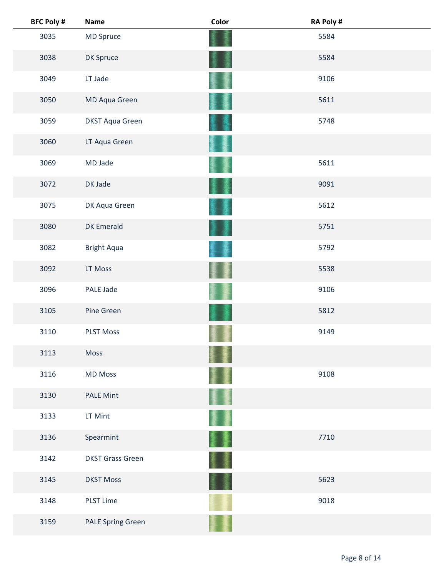| <b>BFC Poly #</b> | <b>Name</b>              | Color  | RA Poly # |
|-------------------|--------------------------|--------|-----------|
| 3035              | MD Spruce                |        | 5584      |
| 3038              | DK Spruce                |        | 5584      |
| 3049              | LT Jade                  |        | 9106      |
| 3050              | MD Aqua Green            |        | 5611      |
| 3059              | <b>DKST Aqua Green</b>   |        | 5748      |
| 3060              | LT Aqua Green            |        |           |
| 3069              | MD Jade                  |        | 5611      |
| 3072              | DK Jade                  |        | 9091      |
| 3075              | DK Aqua Green            |        | 5612      |
| 3080              | <b>DK Emerald</b>        |        | 5751      |
| 3082              | <b>Bright Aqua</b>       |        | 5792      |
| 3092              | LT Moss                  |        | 5538      |
| 3096              | PALE Jade                |        | 9106      |
| 3105              | Pine Green               |        | 5812      |
| 3110              | <b>PLST Moss</b>         |        | 9149      |
| 3113              | Moss                     |        |           |
| 3116              | <b>MD Moss</b>           |        | 9108      |
| 3130              | <b>PALE Mint</b>         | 鼍      |           |
| 3133              | LT Mint                  | ı      |           |
| 3136              | Spearmint                | 屢<br>ţ | 7710      |
| 3142              | <b>DKST Grass Green</b>  |        |           |
| 3145              | <b>DKST Moss</b>         |        | 5623      |
| 3148              | <b>PLST Lime</b>         |        | 9018      |
| 3159              | <b>PALE Spring Green</b> |        |           |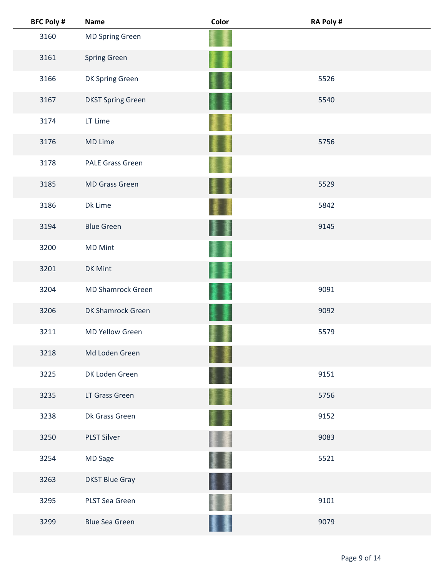| <b>BFC Poly #</b> | <b>Name</b>              | Color  | <b>RA Poly#</b> |  |
|-------------------|--------------------------|--------|-----------------|--|
| 3160              | <b>MD Spring Green</b>   |        |                 |  |
| 3161              | Spring Green             |        |                 |  |
| 3166              | DK Spring Green          |        | 5526            |  |
| 3167              | <b>DKST Spring Green</b> |        | 5540            |  |
| 3174              | LT Lime                  |        |                 |  |
| 3176              | MD Lime                  |        | 5756            |  |
| 3178              | <b>PALE Grass Green</b>  |        |                 |  |
| 3185              | MD Grass Green           |        | 5529            |  |
| 3186              | Dk Lime                  |        | 5842            |  |
| 3194              | <b>Blue Green</b>        | 廔<br>J | 9145            |  |
| 3200              | <b>MD Mint</b>           |        |                 |  |
| 3201              | DK Mint                  |        |                 |  |
| 3204              | <b>MD Shamrock Green</b> |        | 9091            |  |
| 3206              | DK Shamrock Green        |        | 9092            |  |
| 3211              | <b>MD Yellow Green</b>   |        | 5579            |  |
| 3218              | Md Loden Green           |        |                 |  |
| 3225              | DK Loden Green           |        | 9151            |  |
| 3235              | LT Grass Green           |        | 5756            |  |
| 3238              | Dk Grass Green           |        | 9152            |  |
| 3250              | <b>PLST Silver</b>       |        | 9083            |  |
| 3254              | MD Sage                  |        | 5521            |  |
| 3263              | <b>DKST Blue Gray</b>    |        |                 |  |
| 3295              | PLST Sea Green           |        | 9101            |  |
| 3299              | <b>Blue Sea Green</b>    |        | 9079            |  |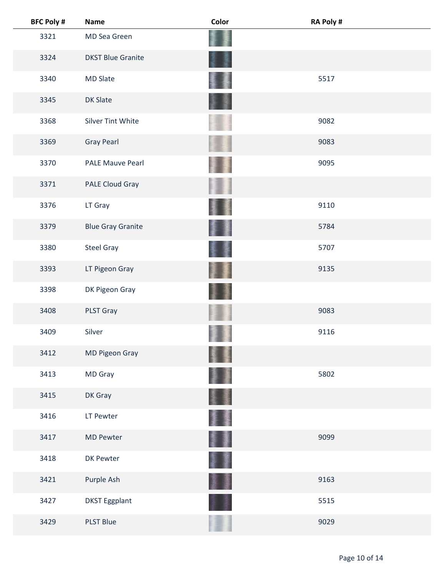| <b>BFC Poly #</b> | <b>Name</b>              | Color   | <b>RA Poly #</b> |
|-------------------|--------------------------|---------|------------------|
| 3321              | MD Sea Green             |         |                  |
| 3324              | <b>DKST Blue Granite</b> |         |                  |
| 3340              | <b>MD Slate</b>          |         | 5517             |
| 3345              | <b>DK Slate</b>          |         |                  |
| 3368              | <b>Silver Tint White</b> |         | 9082             |
| 3369              | <b>Gray Pearl</b>        |         | 9083             |
| 3370              | <b>PALE Mauve Pearl</b>  |         | 9095             |
| 3371              | PALE Cloud Gray          |         |                  |
| 3376              | LT Gray                  |         | 9110             |
| 3379              | <b>Blue Gray Granite</b> |         | 5784             |
| 3380              | <b>Steel Gray</b>        |         | 5707             |
| 3393              | LT Pigeon Gray           |         | 9135             |
| 3398              | DK Pigeon Gray           |         |                  |
| 3408              | PLST Gray                |         | 9083             |
| 3409              | Silver                   |         | 9116             |
| 3412              | MD Pigeon Gray           |         |                  |
| 3413              | MD Gray                  |         | 5802             |
| 3415              | DK Gray                  |         |                  |
| 3416              | LT Pewter                |         |                  |
| 3417              | <b>MD Pewter</b>         | 享<br>美国 | 9099             |
| 3418              | DK Pewter                | J.      |                  |
| 3421              | Purple Ash               |         | 9163             |
| 3427              | <b>DKST Eggplant</b>     |         | 5515             |
| 3429              | <b>PLST Blue</b>         |         | 9029             |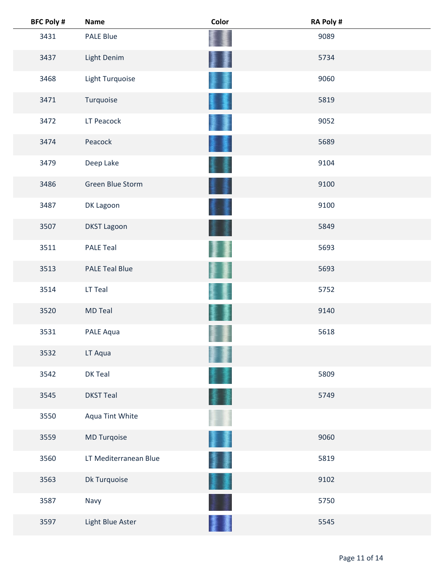| <b>BFC Poly #</b> | <b>Name</b>           | Color | RA Poly # |  |
|-------------------|-----------------------|-------|-----------|--|
| 3431              | <b>PALE Blue</b>      |       | 9089      |  |
| 3437              | Light Denim           |       | 5734      |  |
| 3468              | Light Turquoise       |       | 9060      |  |
| 3471              | Turquoise             |       | 5819      |  |
| 3472              | LT Peacock            |       | 9052      |  |
| 3474              | Peacock               |       | 5689      |  |
| 3479              | Deep Lake             |       | 9104      |  |
| 3486              | Green Blue Storm      |       | 9100      |  |
| 3487              | DK Lagoon             |       | 9100      |  |
| 3507              | <b>DKST Lagoon</b>    |       | 5849      |  |
| 3511              | <b>PALE Teal</b>      |       | 5693      |  |
| 3513              | <b>PALE Teal Blue</b> |       | 5693      |  |
| 3514              | LT Teal               |       | 5752      |  |
| 3520              | <b>MD Teal</b>        |       | 9140      |  |
| 3531              | PALE Aqua             |       | 5618      |  |
| 3532              | LT Aqua               |       |           |  |
| 3542              | DK Teal               |       | 5809      |  |
| 3545              | <b>DKST Teal</b>      |       | 5749      |  |
| 3550              | Aqua Tint White       |       |           |  |
| 3559              | MD Turqoise           |       | 9060      |  |
| 3560              | LT Mediterranean Blue | ł     | 5819      |  |
| 3563              | Dk Turquoise          |       | 9102      |  |
| 3587              | Navy                  |       | 5750      |  |
| 3597              | Light Blue Aster      |       | 5545      |  |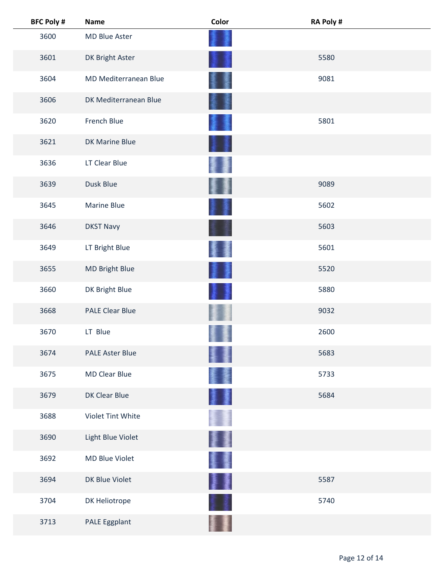| <b>BFC Poly #</b> | <b>Name</b>            | Color | <b>RA Poly #</b> |  |
|-------------------|------------------------|-------|------------------|--|
| 3600              | MD Blue Aster          |       |                  |  |
| 3601              | DK Bright Aster        |       | 5580             |  |
| 3604              | MD Mediterranean Blue  |       | 9081             |  |
| 3606              | DK Mediterranean Blue  |       |                  |  |
| 3620              | French Blue            |       | 5801             |  |
| 3621              | DK Marine Blue         |       |                  |  |
| 3636              | LT Clear Blue          |       |                  |  |
| 3639              | Dusk Blue              |       | 9089             |  |
| 3645              | Marine Blue            |       | 5602             |  |
| 3646              | <b>DKST Navy</b>       |       | 5603             |  |
| 3649              | LT Bright Blue         |       | 5601             |  |
| 3655              | MD Bright Blue         |       | 5520             |  |
| 3660              | DK Bright Blue         |       | 5880             |  |
| 3668              | <b>PALE Clear Blue</b> |       | 9032             |  |
| 3670              | LT Blue                |       | 2600             |  |
| 3674              | <b>PALE Aster Blue</b> |       | 5683             |  |
| 3675              | <b>MD Clear Blue</b>   |       | 5733             |  |
| 3679              | DK Clear Blue          |       | 5684             |  |
| 3688              | Violet Tint White      |       |                  |  |
| 3690              | Light Blue Violet      |       |                  |  |
| 3692              | MD Blue Violet         |       |                  |  |
| 3694              | DK Blue Violet         | ł     | 5587             |  |
| 3704              | DK Heliotrope          |       | 5740             |  |
| 3713              | PALE Eggplant          |       |                  |  |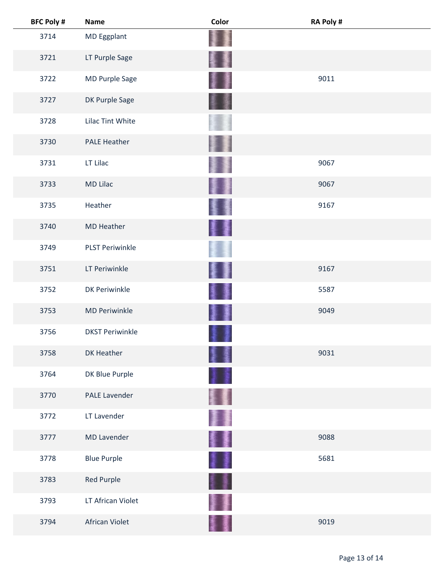| <b>BFC Poly #</b> | <b>Name</b>            | Color               | <b>RA Poly#</b> |  |
|-------------------|------------------------|---------------------|-----------------|--|
| 3714              | MD Eggplant            |                     |                 |  |
| 3721              | LT Purple Sage         |                     |                 |  |
| 3722              | MD Purple Sage         | 蓬                   | 9011            |  |
| 3727              | DK Purple Sage         | 星<br><b>「大阪のある」</b> |                 |  |
| 3728              | Lilac Tint White       |                     |                 |  |
| 3730              | <b>PALE Heather</b>    |                     |                 |  |
| 3731              | LT Lilac               |                     | 9067            |  |
| 3733              | <b>MD Lilac</b>        | 星                   | 9067            |  |
| 3735              | Heather                |                     | 9167            |  |
| 3740              | <b>MD Heather</b>      | 麞<br>漫              |                 |  |
| 3749              | <b>PLST Periwinkle</b> |                     |                 |  |
| 3751              | LT Periwinkle          |                     | 9167            |  |
| 3752              | <b>DK Periwinkle</b>   |                     | 5587            |  |
| 3753              | <b>MD Periwinkle</b>   | 鏖                   | 9049            |  |
| 3756              | <b>DKST Periwinkle</b> |                     |                 |  |
| 3758              | DK Heather             |                     | 9031            |  |
| 3764              | DK Blue Purple         |                     |                 |  |
| 3770              | <b>PALE Lavender</b>   |                     |                 |  |
| 3772              | LT Lavender            | II                  |                 |  |
| 3777              | <b>MD Lavender</b>     | 撃乱 かいしょう            | 9088            |  |
| 3778              | <b>Blue Purple</b>     | II                  | 5681            |  |
| 3783              | Red Purple             | ŧ                   |                 |  |
| 3793              | LT African Violet      |                     |                 |  |
| 3794              | African Violet         |                     | 9019            |  |